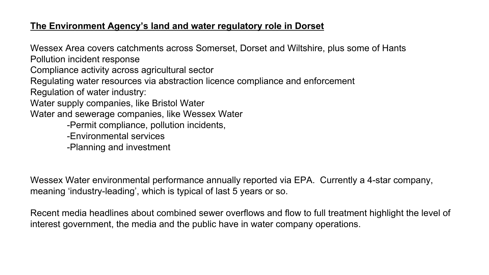## **The Environment Agency's land and water regulatory role in Dorset**

Wessex Area covers catchments across Somerset, Dorset and Wiltshire, plus some of Hants Pollution incident response

Compliance activity across agricultural sector

Regulating water resources via abstraction licence compliance and enforcement

Regulation of water industry:

Water supply companies, like Bristol Water

Water and sewerage companies, like Wessex Water

- -Permit compliance, pollution incidents,
- -Environmental services
- -Planning and investment

Wessex Water environmental performance annually reported via EPA. Currently a 4-star company, meaning 'industry-leading', which is typical of last 5 years or so.

Recent media headlines about combined sewer overflows and flow to full treatment highlight the level of interest government, the media and the public have in water company operations.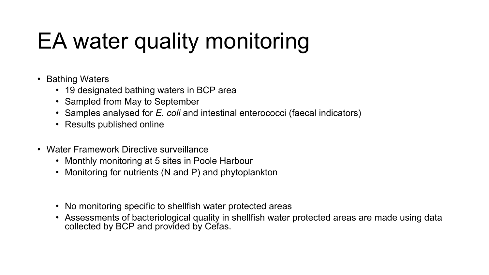# EA water quality monitoring

- Bathing Waters
	- 19 designated bathing waters in BCP area
	- Sampled from May to September
	- Samples analysed for *E. coli* and intestinal enterococci (faecal indicators)
	- Results published online
- Water Framework Directive surveillance
	- Monthly monitoring at 5 sites in Poole Harbour
	- Monitoring for nutrients (N and P) and phytoplankton
	- No monitoring specific to shellfish water protected areas
	- Assessments of bacteriological quality in shellfish water protected areas are made using data collected by BCP and provided by Cefas.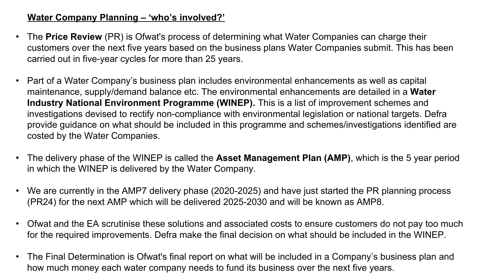# **Water Company Planning – 'who's involved?'**

- The **Price Review** (PR) is Ofwat's process of determining what Water Companies can charge their customers over the next five years based on the business plans Water Companies submit. This has been carried out in five-year cycles for more than 25 years.
- Part of a Water Company's business plan includes environmental enhancements as well as capital maintenance, supply/demand balance etc. The environmental enhancements are detailed in a **Water Industry National Environment Programme (WINEP).** This is a list of improvement schemes and investigations devised to rectify non-compliance with environmental legislation or national targets. Defra provide guidance on what should be included in this programme and schemes/investigations identified are costed by the Water Companies.
- The delivery phase of the WINEP is called the **Asset Management Plan (AMP)**, which is the 5 year period in which the WINEP is delivered by the Water Company.
- We are currently in the AMP7 delivery phase (2020-2025) and have just started the PR planning process (PR24) for the next AMP which will be delivered 2025-2030 and will be known as AMP8.
- Ofwat and the EA scrutinise these solutions and associated costs to ensure customers do not pay too much for the required improvements. Defra make the final decision on what should be included in the WINEP.
- The Final Determination is Ofwat's final report on what will be included in a Company's business plan and how much money each water company needs to fund its business over the next five years.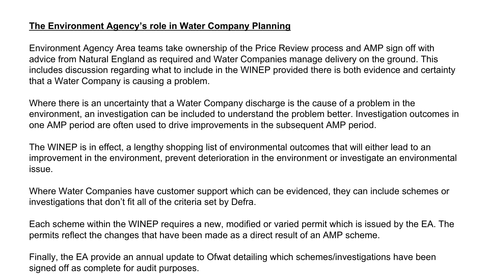## **The Environment Agency's role in Water Company Planning**

Environment Agency Area teams take ownership of the Price Review process and AMP sign off with advice from Natural England as required and Water Companies manage delivery on the ground. This includes discussion regarding what to include in the WINEP provided there is both evidence and certainty that a Water Company is causing a problem.

Where there is an uncertainty that a Water Company discharge is the cause of a problem in the environment, an investigation can be included to understand the problem better. Investigation outcomes in one AMP period are often used to drive improvements in the subsequent AMP period.

The WINEP is in effect, a lengthy shopping list of environmental outcomes that will either lead to an improvement in the environment, prevent deterioration in the environment or investigate an environmental issue.

Where Water Companies have customer support which can be evidenced, they can include schemes or investigations that don't fit all of the criteria set by Defra.

Each scheme within the WINEP requires a new, modified or varied permit which is issued by the EA. The permits reflect the changes that have been made as a direct result of an AMP scheme.

Finally, the EA provide an annual update to Ofwat detailing which schemes/investigations have been signed off as complete for audit purposes.